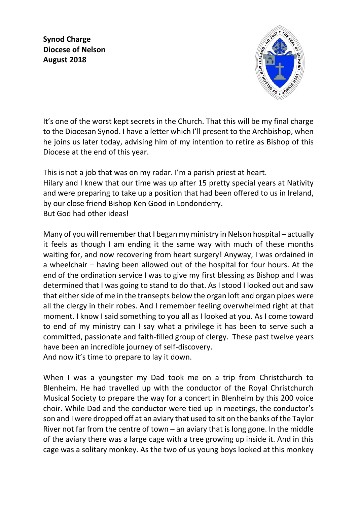**Synod Charge Diocese of Nelson August 2018**



It's one of the worst kept secrets in the Church. That this will be my final charge to the Diocesan Synod. I have a letter which I'll present to the Archbishop, when he joins us later today, advising him of my intention to retire as Bishop of this Diocese at the end of this year.

This is not a job that was on my radar. I'm a parish priest at heart. Hilary and I knew that our time was up after 15 pretty special years at Nativity and were preparing to take up a position that had been offered to us in Ireland, by our close friend Bishop Ken Good in Londonderry. But God had other ideas!

Many of you will remember that I began my ministry in Nelson hospital – actually it feels as though I am ending it the same way with much of these months waiting for, and now recovering from heart surgery! Anyway, I was ordained in a wheelchair – having been allowed out of the hospital for four hours. At the end of the ordination service I was to give my first blessing as Bishop and I was determined that I was going to stand to do that. As I stood I looked out and saw that either side of me in the transepts below the organ loft and organ pipes were all the clergy in their robes. And I remember feeling overwhelmed right at that moment. I know I said something to you all as I looked at you. As I come toward to end of my ministry can I say what a privilege it has been to serve such a committed, passionate and faith-filled group of clergy. These past twelve years have been an incredible journey of self-discovery. And now it's time to prepare to lay it down.

When I was a youngster my Dad took me on a trip from Christchurch to Blenheim. He had travelled up with the conductor of the Royal Christchurch Musical Society to prepare the way for a concert in Blenheim by this 200 voice choir. While Dad and the conductor were tied up in meetings, the conductor's son and I were dropped off at an aviary that used to sit on the banks of the Taylor River not far from the centre of town – an aviary that is long gone. In the middle of the aviary there was a large cage with a tree growing up inside it. And in this cage was a solitary monkey. As the two of us young boys looked at this monkey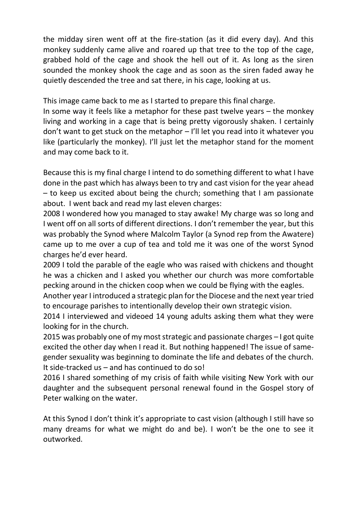the midday siren went off at the fire-station (as it did every day). And this monkey suddenly came alive and roared up that tree to the top of the cage, grabbed hold of the cage and shook the hell out of it. As long as the siren sounded the monkey shook the cage and as soon as the siren faded away he quietly descended the tree and sat there, in his cage, looking at us.

This image came back to me as I started to prepare this final charge.

In some way it feels like a metaphor for these past twelve years – the monkey living and working in a cage that is being pretty vigorously shaken. I certainly don't want to get stuck on the metaphor – I'll let you read into it whatever you like (particularly the monkey). I'll just let the metaphor stand for the moment and may come back to it.

Because this is my final charge I intend to do something different to what I have done in the past which has always been to try and cast vision for the year ahead – to keep us excited about being the church; something that I am passionate about. I went back and read my last eleven charges:

2008 I wondered how you managed to stay awake! My charge was so long and I went off on all sorts of different directions. I don't remember the year, but this was probably the Synod where Malcolm Taylor (a Synod rep from the Awatere) came up to me over a cup of tea and told me it was one of the worst Synod charges he'd ever heard.

2009 I told the parable of the eagle who was raised with chickens and thought he was a chicken and I asked you whether our church was more comfortable pecking around in the chicken coop when we could be flying with the eagles.

Another year I introduced a strategic plan for the Diocese and the next year tried to encourage parishes to intentionally develop their own strategic vision.

2014 I interviewed and videoed 14 young adults asking them what they were looking for in the church.

2015 was probably one of my most strategic and passionate charges – I got quite excited the other day when I read it. But nothing happened! The issue of samegender sexuality was beginning to dominate the life and debates of the church. It side-tracked us – and has continued to do so!

2016 I shared something of my crisis of faith while visiting New York with our daughter and the subsequent personal renewal found in the Gospel story of Peter walking on the water.

At this Synod I don't think it's appropriate to cast vision (although I still have so many dreams for what we might do and be). I won't be the one to see it outworked.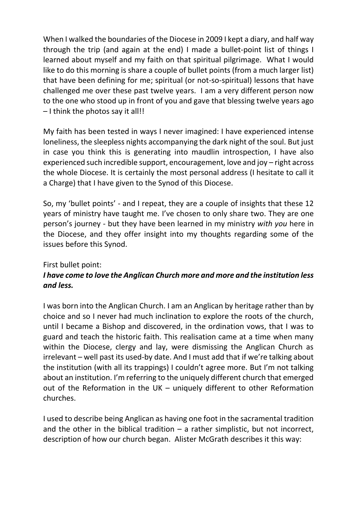When I walked the boundaries of the Diocese in 2009 I kept a diary, and half way through the trip (and again at the end) I made a bullet-point list of things I learned about myself and my faith on that spiritual pilgrimage. What I would like to do this morning is share a couple of bullet points (from a much larger list) that have been defining for me; spiritual (or not-so-spiritual) lessons that have challenged me over these past twelve years. I am a very different person now to the one who stood up in front of you and gave that blessing twelve years ago – I think the photos say it all!!

My faith has been tested in ways I never imagined: I have experienced intense loneliness, the sleepless nights accompanying the dark night of the soul. But just in case you think this is generating into maudlin introspection, I have also experienced such incredible support, encouragement, love and joy – right across the whole Diocese. It is certainly the most personal address (I hesitate to call it a Charge) that I have given to the Synod of this Diocese.

So, my 'bullet points' - and I repeat, they are a couple of insights that these 12 years of ministry have taught me. I've chosen to only share two. They are one person's journey - but they have been learned in my ministry *with you* here in the Diocese, and they offer insight into my thoughts regarding some of the issues before this Synod.

#### First bullet point:

# *I have come to love the Anglican Church more and more and the institution less and less.*

I was born into the Anglican Church. I am an Anglican by heritage rather than by choice and so I never had much inclination to explore the roots of the church, until I became a Bishop and discovered, in the ordination vows, that I was to guard and teach the historic faith. This realisation came at a time when many within the Diocese, clergy and lay, were dismissing the Anglican Church as irrelevant – well past its used-by date. And I must add that if we're talking about the institution (with all its trappings) I couldn't agree more. But I'm not talking about an institution. I'm referring to the uniquely different church that emerged out of the Reformation in the UK – uniquely different to other Reformation churches.

I used to describe being Anglican as having one foot in the sacramental tradition and the other in the biblical tradition  $-$  a rather simplistic, but not incorrect, description of how our church began. Alister McGrath describes it this way: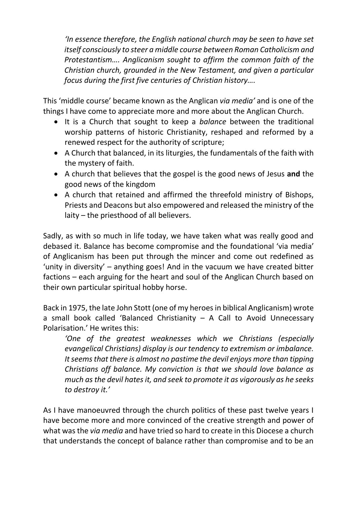*'In essence therefore, the English national church may be seen to have set itself consciously to steer a middle course between Roman Catholicism and Protestantism…. Anglicanism sought to affirm the common faith of the Christian church, grounded in the New Testament, and given a particular focus during the first five centuries of Christian history….*

This 'middle course' became known as the Anglican *via media'* and is one of the things I have come to appreciate more and more about the Anglican Church.

- It is a Church that sought to keep a *balance* between the traditional worship patterns of historic Christianity, reshaped and reformed by a renewed respect for the authority of scripture;
- A Church that balanced, in its liturgies, the fundamentals of the faith with the mystery of faith.
- A church that believes that the gospel is the good news of Jesus **and** the good news of the kingdom
- A church that retained and affirmed the threefold ministry of Bishops, Priests and Deacons but also empowered and released the ministry of the laity – the priesthood of all believers.

Sadly, as with so much in life today, we have taken what was really good and debased it. Balance has become compromise and the foundational 'via media' of Anglicanism has been put through the mincer and come out redefined as 'unity in diversity' – anything goes! And in the vacuum we have created bitter factions – each arguing for the heart and soul of the Anglican Church based on their own particular spiritual hobby horse.

Back in 1975, the late John Stott (one of my heroes in biblical Anglicanism) wrote a small book called 'Balanced Christianity  $-$  A Call to Avoid Unnecessary Polarisation.' He writes this:

*'One of the greatest weaknesses which we Christians (especially evangelical Christians) display is our tendency to extremism or imbalance. It seems that there is almost no pastime the devil enjoys more than tipping Christians off balance. My conviction is that we should love balance as much as the devil hates it, and seek to promote it as vigorously as he seeks to destroy it.'*

As I have manoeuvred through the church politics of these past twelve years I have become more and more convinced of the creative strength and power of what was the *via media* and have tried so hard to create in this Diocese a church that understands the concept of balance rather than compromise and to be an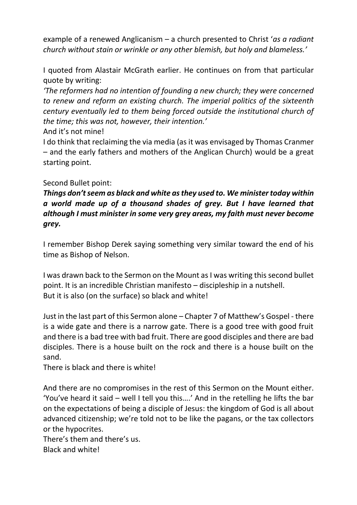example of a renewed Anglicanism – a church presented to Christ '*as a radiant church without stain or wrinkle or any other blemish, but holy and blameless.'*

I quoted from Alastair McGrath earlier. He continues on from that particular quote by writing:

*'The reformers had no intention of founding a new church; they were concerned to renew and reform an existing church. The imperial politics of the sixteenth century eventually led to them being forced outside the institutional church of the time; this was not, however, their intention.'*

And it's not mine!

I do think that reclaiming the via media (as it was envisaged by Thomas Cranmer – and the early fathers and mothers of the Anglican Church) would be a great starting point.

### Second Bullet point:

# *Things don't seem as black and white as they used to. We minister today within a world made up of a thousand shades of grey. But I have learned that although I must minister in some very grey areas, my faith must never become grey.*

I remember Bishop Derek saying something very similar toward the end of his time as Bishop of Nelson.

I was drawn back to the Sermon on the Mount as I was writing this second bullet point. It is an incredible Christian manifesto – discipleship in a nutshell. But it is also (on the surface) so black and white!

Just in the last part of this Sermon alone – Chapter 7 of Matthew's Gospel - there is a wide gate and there is a narrow gate. There is a good tree with good fruit and there is a bad tree with bad fruit. There are good disciples and there are bad disciples. There is a house built on the rock and there is a house built on the sand.

There is black and there is white!

And there are no compromises in the rest of this Sermon on the Mount either. 'You've heard it said – well I tell you this….' And in the retelling he lifts the bar on the expectations of being a disciple of Jesus: the kingdom of God is all about advanced citizenship; we're told not to be like the pagans, or the tax collectors or the hypocrites.

There's them and there's us.

Black and white!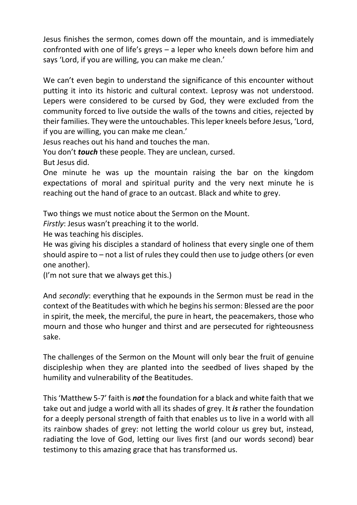Jesus finishes the sermon, comes down off the mountain, and is immediately confronted with one of life's greys – a leper who kneels down before him and says 'Lord, if you are willing, you can make me clean.'

We can't even begin to understand the significance of this encounter without putting it into its historic and cultural context. Leprosy was not understood. Lepers were considered to be cursed by God, they were excluded from the community forced to live outside the walls of the towns and cities, rejected by their families. They were the untouchables. This leper kneels before Jesus, 'Lord, if you are willing, you can make me clean.'

Jesus reaches out his hand and touches the man.

You don't *touch* these people. They are unclean, cursed.

But Jesus did.

One minute he was up the mountain raising the bar on the kingdom expectations of moral and spiritual purity and the very next minute he is reaching out the hand of grace to an outcast. Black and white to grey.

Two things we must notice about the Sermon on the Mount.

*Firstly*: Jesus wasn't preaching it to the world.

He was teaching his disciples.

He was giving his disciples a standard of holiness that every single one of them should aspire to – not a list of rules they could then use to judge others (or even one another).

(I'm not sure that we always get this.)

And *secondly*: everything that he expounds in the Sermon must be read in the context of the Beatitudes with which he begins his sermon: Blessed are the poor in spirit, the meek, the merciful, the pure in heart, the peacemakers, those who mourn and those who hunger and thirst and are persecuted for righteousness sake.

The challenges of the Sermon on the Mount will only bear the fruit of genuine discipleship when they are planted into the seedbed of lives shaped by the humility and vulnerability of the Beatitudes.

This 'Matthew 5-7' faith is *not* the foundation for a black and white faith that we take out and judge a world with all its shades of grey. It *is* rather the foundation for a deeply personal strength of faith that enables us to live in a world with all its rainbow shades of grey: not letting the world colour us grey but, instead, radiating the love of God, letting our lives first (and our words second) bear testimony to this amazing grace that has transformed us.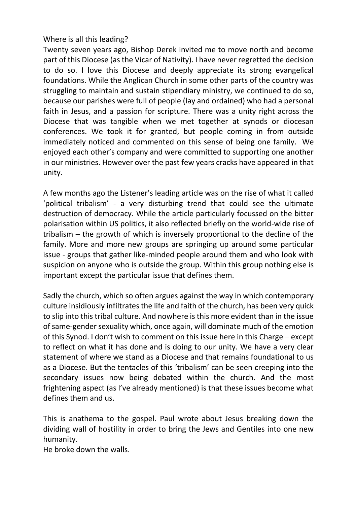### Where is all this leading?

Twenty seven years ago, Bishop Derek invited me to move north and become part of this Diocese (as the Vicar of Nativity). I have never regretted the decision to do so. I love this Diocese and deeply appreciate its strong evangelical foundations. While the Anglican Church in some other parts of the country was struggling to maintain and sustain stipendiary ministry, we continued to do so, because our parishes were full of people (lay and ordained) who had a personal faith in Jesus, and a passion for scripture. There was a unity right across the Diocese that was tangible when we met together at synods or diocesan conferences. We took it for granted, but people coming in from outside immediately noticed and commented on this sense of being one family. We enjoyed each other's company and were committed to supporting one another in our ministries. However over the past few years cracks have appeared in that unity.

A few months ago the Listener's leading article was on the rise of what it called 'political tribalism' - a very disturbing trend that could see the ultimate destruction of democracy. While the article particularly focussed on the bitter polarisation within US politics, it also reflected briefly on the world-wide rise of tribalism – the growth of which is inversely proportional to the decline of the family. More and more new groups are springing up around some particular issue - groups that gather like-minded people around them and who look with suspicion on anyone who is outside the group. Within this group nothing else is important except the particular issue that defines them.

Sadly the church, which so often argues against the way in which contemporary culture insidiously infiltrates the life and faith of the church, has been very quick to slip into this tribal culture. And nowhere is this more evident than in the issue of same-gender sexuality which, once again, will dominate much of the emotion of this Synod. I don't wish to comment on this issue here in this Charge – except to reflect on what it has done and is doing to our unity. We have a very clear statement of where we stand as a Diocese and that remains foundational to us as a Diocese. But the tentacles of this 'tribalism' can be seen creeping into the secondary issues now being debated within the church. And the most frightening aspect (as I've already mentioned) is that these issues become what defines them and us.

This is anathema to the gospel. Paul wrote about Jesus breaking down the dividing wall of hostility in order to bring the Jews and Gentiles into one new humanity.

He broke down the walls.